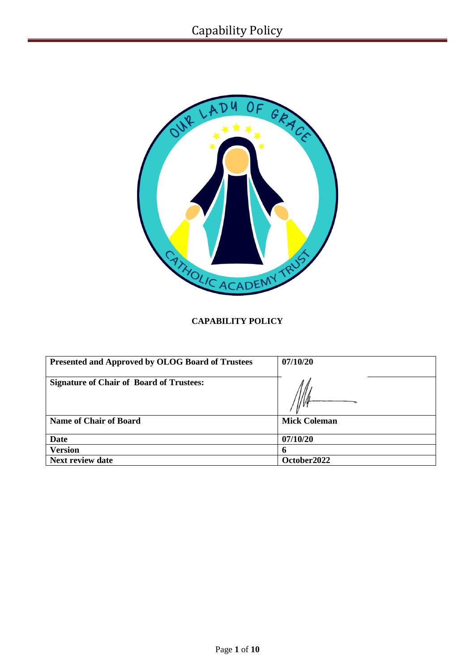

# **CAPABILITY POLICY**

| <b>Presented and Approved by OLOG Board of Trustees</b> | 07/10/20            |
|---------------------------------------------------------|---------------------|
| <b>Signature of Chair of Board of Trustees:</b>         |                     |
| <b>Name of Chair of Board</b>                           | <b>Mick Coleman</b> |
| <b>Date</b>                                             | 07/10/20            |
| <b>Version</b>                                          | n                   |
| <b>Next review date</b>                                 | October2022         |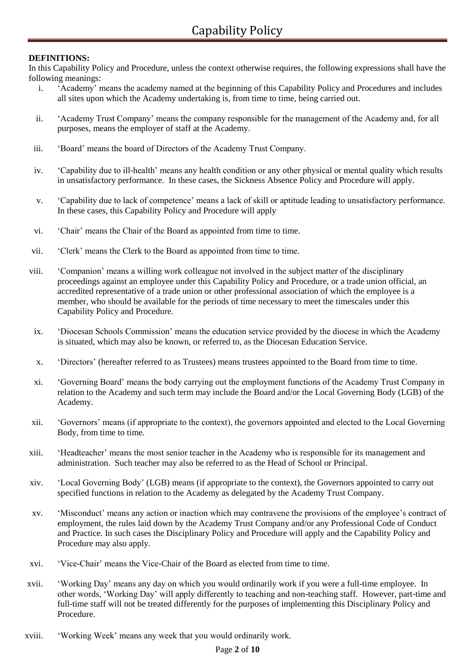### **DEFINITIONS:**

In this Capability Policy and Procedure, unless the context otherwise requires, the following expressions shall have the following meanings:

- i. 'Academy' means the academy named at the beginning of this Capability Policy and Procedures and includes all sites upon which the Academy undertaking is, from time to time, being carried out.
- ii. 'Academy Trust Company' means the company responsible for the management of the Academy and, for all purposes, means the employer of staff at the Academy.
- iii. 'Board' means the board of Directors of the Academy Trust Company.
- iv. 'Capability due to ill-health' means any health condition or any other physical or mental quality which results in unsatisfactory performance. In these cases, the Sickness Absence Policy and Procedure will apply.
- v. 'Capability due to lack of competence' means a lack of skill or aptitude leading to unsatisfactory performance. In these cases, this Capability Policy and Procedure will apply
- vi. 'Chair' means the Chair of the Board as appointed from time to time.
- vii. 'Clerk' means the Clerk to the Board as appointed from time to time.
- viii. 'Companion' means a willing work colleague not involved in the subject matter of the disciplinary proceedings against an employee under this Capability Policy and Procedure, or a trade union official, an accredited representative of a trade union or other professional association of which the employee is a member, who should be available for the periods of time necessary to meet the timescales under this Capability Policy and Procedure.
- ix. 'Diocesan Schools Commission' means the education service provided by the diocese in which the Academy is situated, which may also be known, or referred to, as the Diocesan Education Service.
- x. 'Directors' (hereafter referred to as Trustees) means trustees appointed to the Board from time to time.
- xi. 'Governing Board' means the body carrying out the employment functions of the Academy Trust Company in relation to the Academy and such term may include the Board and/or the Local Governing Body (LGB) of the Academy.
- xii. 'Governors' means (if appropriate to the context), the governors appointed and elected to the Local Governing Body, from time to time.
- xiii. 'Headteacher' means the most senior teacher in the Academy who is responsible for its management and administration. Such teacher may also be referred to as the Head of School or Principal.
- xiv. 'Local Governing Body' (LGB) means (if appropriate to the context), the Governors appointed to carry out specified functions in relation to the Academy as delegated by the Academy Trust Company.
- xv. 'Misconduct' means any action or inaction which may contravene the provisions of the employee's contract of employment, the rules laid down by the Academy Trust Company and/or any Professional Code of Conduct and Practice. In such cases the Disciplinary Policy and Procedure will apply and the Capability Policy and Procedure may also apply.
- xvi. 'Vice-Chair' means the Vice-Chair of the Board as elected from time to time.
- xvii. 'Working Day' means any day on which you would ordinarily work if you were a full-time employee. In other words, 'Working Day' will apply differently to teaching and non-teaching staff. However, part-time and full-time staff will not be treated differently for the purposes of implementing this Disciplinary Policy and Procedure.
- xviii. 'Working Week' means any week that you would ordinarily work.

#### Page **2** of **10**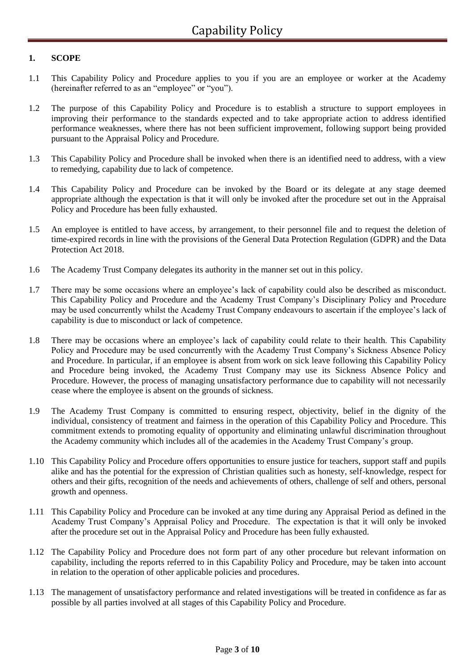### **1. SCOPE**

- 1.1 This Capability Policy and Procedure applies to you if you are an employee or worker at the Academy (hereinafter referred to as an "employee" or "you").
- 1.2 The purpose of this Capability Policy and Procedure is to establish a structure to support employees in improving their performance to the standards expected and to take appropriate action to address identified performance weaknesses, where there has not been sufficient improvement, following support being provided pursuant to the Appraisal Policy and Procedure.
- 1.3 This Capability Policy and Procedure shall be invoked when there is an identified need to address, with a view to remedying, capability due to lack of competence.
- 1.4 This Capability Policy and Procedure can be invoked by the Board or its delegate at any stage deemed appropriate although the expectation is that it will only be invoked after the procedure set out in the Appraisal Policy and Procedure has been fully exhausted.
- 1.5 An employee is entitled to have access, by arrangement, to their personnel file and to request the deletion of time-expired records in line with the provisions of the General Data Protection Regulation (GDPR) and the Data Protection Act 2018.
- 1.6 The Academy Trust Company delegates its authority in the manner set out in this policy.
- 1.7 There may be some occasions where an employee's lack of capability could also be described as misconduct. This Capability Policy and Procedure and the Academy Trust Company's Disciplinary Policy and Procedure may be used concurrently whilst the Academy Trust Company endeavours to ascertain if the employee's lack of capability is due to misconduct or lack of competence.
- 1.8 There may be occasions where an employee's lack of capability could relate to their health. This Capability Policy and Procedure may be used concurrently with the Academy Trust Company's Sickness Absence Policy and Procedure. In particular, if an employee is absent from work on sick leave following this Capability Policy and Procedure being invoked, the Academy Trust Company may use its Sickness Absence Policy and Procedure. However, the process of managing unsatisfactory performance due to capability will not necessarily cease where the employee is absent on the grounds of sickness.
- 1.9 The Academy Trust Company is committed to ensuring respect, objectivity, belief in the dignity of the individual, consistency of treatment and fairness in the operation of this Capability Policy and Procedure. This commitment extends to promoting equality of opportunity and eliminating unlawful discrimination throughout the Academy community which includes all of the academies in the Academy Trust Company's group.
- 1.10 This Capability Policy and Procedure offers opportunities to ensure justice for teachers, support staff and pupils alike and has the potential for the expression of Christian qualities such as honesty, self-knowledge, respect for others and their gifts, recognition of the needs and achievements of others, challenge of self and others, personal growth and openness.
- 1.11 This Capability Policy and Procedure can be invoked at any time during any Appraisal Period as defined in the Academy Trust Company's Appraisal Policy and Procedure. The expectation is that it will only be invoked after the procedure set out in the Appraisal Policy and Procedure has been fully exhausted.
- 1.12 The Capability Policy and Procedure does not form part of any other procedure but relevant information on capability, including the reports referred to in this Capability Policy and Procedure, may be taken into account in relation to the operation of other applicable policies and procedures.
- 1.13 The management of unsatisfactory performance and related investigations will be treated in confidence as far as possible by all parties involved at all stages of this Capability Policy and Procedure.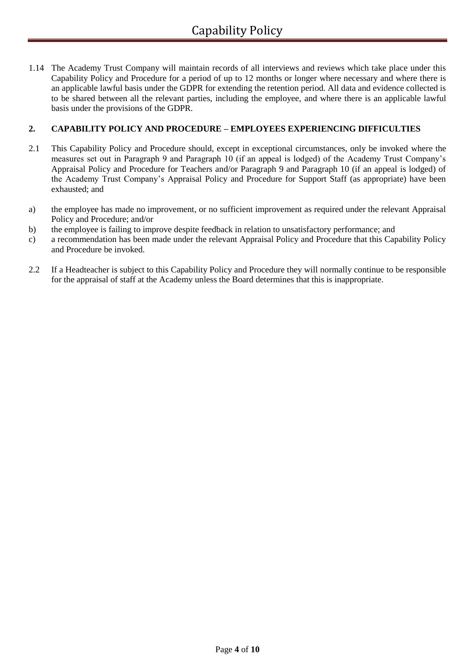1.14 The Academy Trust Company will maintain records of all interviews and reviews which take place under this Capability Policy and Procedure for a period of up to 12 months or longer where necessary and where there is an applicable lawful basis under the GDPR for extending the retention period. All data and evidence collected is to be shared between all the relevant parties, including the employee, and where there is an applicable lawful basis under the provisions of the GDPR.

### **2. CAPABILITY POLICY AND PROCEDURE – EMPLOYEES EXPERIENCING DIFFICULTIES**

- 2.1 This Capability Policy and Procedure should, except in exceptional circumstances, only be invoked where the measures set out in Paragraph 9 and Paragraph 10 (if an appeal is lodged) of the Academy Trust Company's Appraisal Policy and Procedure for Teachers and/or Paragraph 9 and Paragraph 10 (if an appeal is lodged) of the Academy Trust Company's Appraisal Policy and Procedure for Support Staff (as appropriate) have been exhausted; and
- a) the employee has made no improvement, or no sufficient improvement as required under the relevant Appraisal Policy and Procedure; and/or
- b) the employee is failing to improve despite feedback in relation to unsatisfactory performance; and
- c) a recommendation has been made under the relevant Appraisal Policy and Procedure that this Capability Policy and Procedure be invoked.
- 2.2 If a Headteacher is subject to this Capability Policy and Procedure they will normally continue to be responsible for the appraisal of staff at the Academy unless the Board determines that this is inappropriate.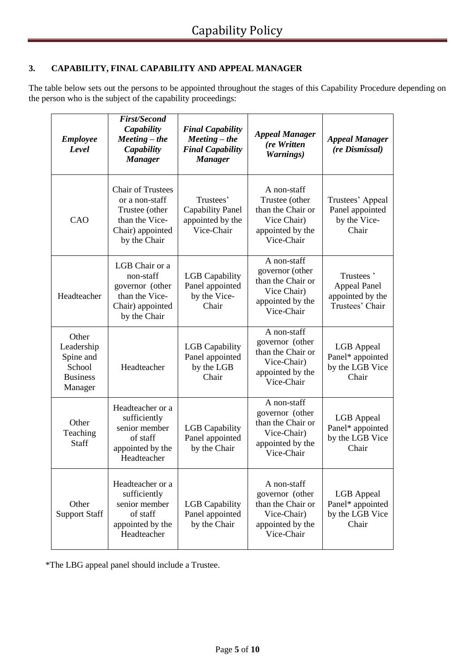## **3. CAPABILITY, FINAL CAPABILITY AND APPEAL MANAGER**

The table below sets out the persons to be appointed throughout the stages of this Capability Procedure depending on the person who is the subject of the capability proceedings:

| <b>Employee</b><br>Level                                                 | <b>First/Second</b><br>Capability<br>$Meeting – the$<br>Capability<br><b>Manager</b>                               | <b>Final Capability</b><br>$Meeting – the$<br><b>Final Capability</b><br><b>Manager</b> | <b>Appeal Manager</b><br>(re Written<br>Warnings)                                                    | <b>Appeal Manager</b><br>(re Dismissal)                                 |
|--------------------------------------------------------------------------|--------------------------------------------------------------------------------------------------------------------|-----------------------------------------------------------------------------------------|------------------------------------------------------------------------------------------------------|-------------------------------------------------------------------------|
| CAO                                                                      | <b>Chair of Trustees</b><br>or a non-staff<br>Trustee (other<br>than the Vice-<br>Chair) appointed<br>by the Chair | Trustees'<br><b>Capability Panel</b><br>appointed by the<br>Vice-Chair                  | A non-staff<br>Trustee (other<br>than the Chair or<br>Vice Chair)<br>appointed by the<br>Vice-Chair  | Trustees' Appeal<br>Panel appointed<br>by the Vice-<br>Chair            |
| Headteacher                                                              | LGB Chair or a<br>non-staff<br>governor (other<br>than the Vice-<br>Chair) appointed<br>by the Chair               | <b>LGB</b> Capability<br>Panel appointed<br>by the Vice-<br>Chair                       | A non-staff<br>governor (other<br>than the Chair or<br>Vice Chair)<br>appointed by the<br>Vice-Chair | Trustees'<br><b>Appeal Panel</b><br>appointed by the<br>Trustees' Chair |
| Other<br>Leadership<br>Spine and<br>School<br><b>Business</b><br>Manager | Headteacher                                                                                                        | <b>LGB</b> Capability<br>Panel appointed<br>by the LGB<br>Chair                         | A non-staff<br>governor (other<br>than the Chair or<br>Vice-Chair)<br>appointed by the<br>Vice-Chair | <b>LGB</b> Appeal<br>Panel* appointed<br>by the LGB Vice<br>Chair       |
| Other<br>Teaching<br><b>Staff</b>                                        | Headteacher or a<br>sufficiently<br>senior member<br>of staff<br>appointed by the<br>Headteacher                   | <b>LGB</b> Capability<br>Panel appointed<br>by the Chair                                | A non-staff<br>governor (other<br>than the Chair or<br>Vice-Chair)<br>appointed by the<br>Vice-Chair | <b>LGB</b> Appeal<br>Panel* appointed<br>by the LGB Vice<br>Chair       |
| Other<br><b>Support Staff</b>                                            | Headteacher or a<br>sufficiently<br>senior member<br>of staff<br>appointed by the<br>Headteacher                   | <b>LGB</b> Capability<br>Panel appointed<br>by the Chair                                | A non-staff<br>governor (other<br>than the Chair or<br>Vice-Chair)<br>appointed by the<br>Vice-Chair | <b>LGB</b> Appeal<br>Panel* appointed<br>by the LGB Vice<br>Chair       |

\*The LBG appeal panel should include a Trustee.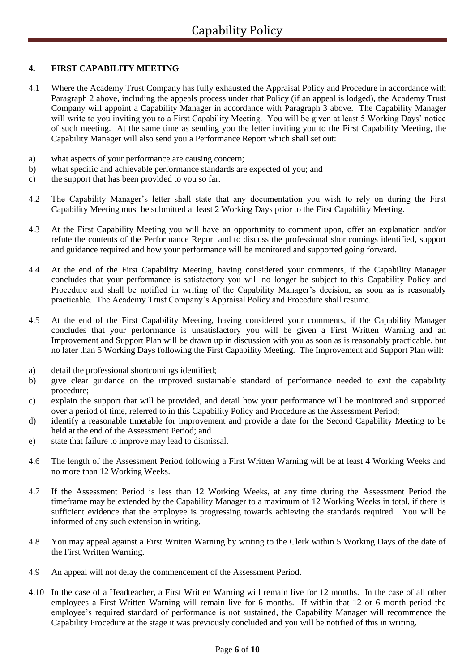### **4. FIRST CAPABILITY MEETING**

- 4.1 Where the Academy Trust Company has fully exhausted the Appraisal Policy and Procedure in accordance with Paragraph 2 above, including the appeals process under that Policy (if an appeal is lodged), the Academy Trust Company will appoint a Capability Manager in accordance with Paragraph 3 above. The Capability Manager will write to you inviting you to a First Capability Meeting. You will be given at least 5 Working Days' notice of such meeting. At the same time as sending you the letter inviting you to the First Capability Meeting, the Capability Manager will also send you a Performance Report which shall set out:
- a) what aspects of your performance are causing concern;
- b) what specific and achievable performance standards are expected of you; and
- c) the support that has been provided to you so far.
- 4.2 The Capability Manager's letter shall state that any documentation you wish to rely on during the First Capability Meeting must be submitted at least 2 Working Days prior to the First Capability Meeting.
- 4.3 At the First Capability Meeting you will have an opportunity to comment upon, offer an explanation and/or refute the contents of the Performance Report and to discuss the professional shortcomings identified, support and guidance required and how your performance will be monitored and supported going forward.
- 4.4 At the end of the First Capability Meeting, having considered your comments, if the Capability Manager concludes that your performance is satisfactory you will no longer be subject to this Capability Policy and Procedure and shall be notified in writing of the Capability Manager's decision, as soon as is reasonably practicable. The Academy Trust Company's Appraisal Policy and Procedure shall resume.
- 4.5 At the end of the First Capability Meeting, having considered your comments, if the Capability Manager concludes that your performance is unsatisfactory you will be given a First Written Warning and an Improvement and Support Plan will be drawn up in discussion with you as soon as is reasonably practicable, but no later than 5 Working Days following the First Capability Meeting. The Improvement and Support Plan will:
- a) detail the professional shortcomings identified;
- b) give clear guidance on the improved sustainable standard of performance needed to exit the capability procedure;
- c) explain the support that will be provided, and detail how your performance will be monitored and supported over a period of time, referred to in this Capability Policy and Procedure as the Assessment Period;
- d) identify a reasonable timetable for improvement and provide a date for the Second Capability Meeting to be held at the end of the Assessment Period; and
- e) state that failure to improve may lead to dismissal.
- 4.6 The length of the Assessment Period following a First Written Warning will be at least 4 Working Weeks and no more than 12 Working Weeks.
- 4.7 If the Assessment Period is less than 12 Working Weeks, at any time during the Assessment Period the timeframe may be extended by the Capability Manager to a maximum of 12 Working Weeks in total, if there is sufficient evidence that the employee is progressing towards achieving the standards required. You will be informed of any such extension in writing.
- 4.8 You may appeal against a First Written Warning by writing to the Clerk within 5 Working Days of the date of the First Written Warning.
- 4.9 An appeal will not delay the commencement of the Assessment Period.
- 4.10 In the case of a Headteacher, a First Written Warning will remain live for 12 months. In the case of all other employees a First Written Warning will remain live for 6 months. If within that 12 or 6 month period the employee's required standard of performance is not sustained, the Capability Manager will recommence the Capability Procedure at the stage it was previously concluded and you will be notified of this in writing.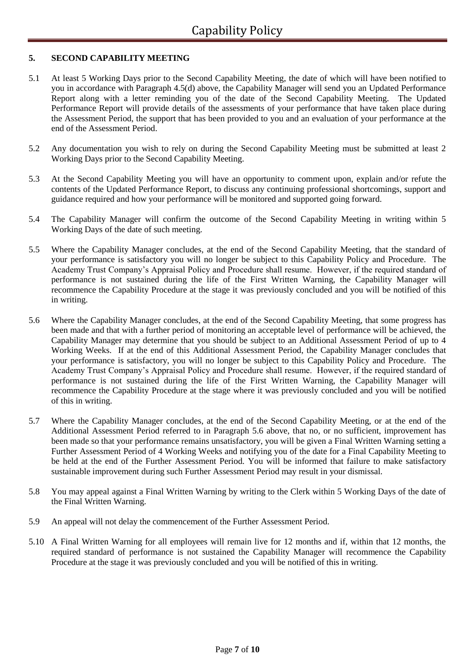### **5. SECOND CAPABILITY MEETING**

- 5.1 At least 5 Working Days prior to the Second Capability Meeting, the date of which will have been notified to you in accordance with Paragraph 4.5(d) above, the Capability Manager will send you an Updated Performance Report along with a letter reminding you of the date of the Second Capability Meeting. The Updated Performance Report will provide details of the assessments of your performance that have taken place during the Assessment Period, the support that has been provided to you and an evaluation of your performance at the end of the Assessment Period.
- 5.2 Any documentation you wish to rely on during the Second Capability Meeting must be submitted at least 2 Working Days prior to the Second Capability Meeting.
- 5.3 At the Second Capability Meeting you will have an opportunity to comment upon, explain and/or refute the contents of the Updated Performance Report, to discuss any continuing professional shortcomings, support and guidance required and how your performance will be monitored and supported going forward.
- 5.4 The Capability Manager will confirm the outcome of the Second Capability Meeting in writing within 5 Working Days of the date of such meeting.
- 5.5 Where the Capability Manager concludes, at the end of the Second Capability Meeting, that the standard of your performance is satisfactory you will no longer be subject to this Capability Policy and Procedure. The Academy Trust Company's Appraisal Policy and Procedure shall resume. However, if the required standard of performance is not sustained during the life of the First Written Warning, the Capability Manager will recommence the Capability Procedure at the stage it was previously concluded and you will be notified of this in writing.
- 5.6 Where the Capability Manager concludes, at the end of the Second Capability Meeting, that some progress has been made and that with a further period of monitoring an acceptable level of performance will be achieved, the Capability Manager may determine that you should be subject to an Additional Assessment Period of up to 4 Working Weeks. If at the end of this Additional Assessment Period, the Capability Manager concludes that your performance is satisfactory, you will no longer be subject to this Capability Policy and Procedure. The Academy Trust Company's Appraisal Policy and Procedure shall resume. However, if the required standard of performance is not sustained during the life of the First Written Warning, the Capability Manager will recommence the Capability Procedure at the stage where it was previously concluded and you will be notified of this in writing.
- 5.7 Where the Capability Manager concludes, at the end of the Second Capability Meeting, or at the end of the Additional Assessment Period referred to in Paragraph 5.6 above, that no, or no sufficient, improvement has been made so that your performance remains unsatisfactory, you will be given a Final Written Warning setting a Further Assessment Period of 4 Working Weeks and notifying you of the date for a Final Capability Meeting to be held at the end of the Further Assessment Period. You will be informed that failure to make satisfactory sustainable improvement during such Further Assessment Period may result in your dismissal.
- 5.8 You may appeal against a Final Written Warning by writing to the Clerk within 5 Working Days of the date of the Final Written Warning.
- 5.9 An appeal will not delay the commencement of the Further Assessment Period.
- 5.10 A Final Written Warning for all employees will remain live for 12 months and if, within that 12 months, the required standard of performance is not sustained the Capability Manager will recommence the Capability Procedure at the stage it was previously concluded and you will be notified of this in writing.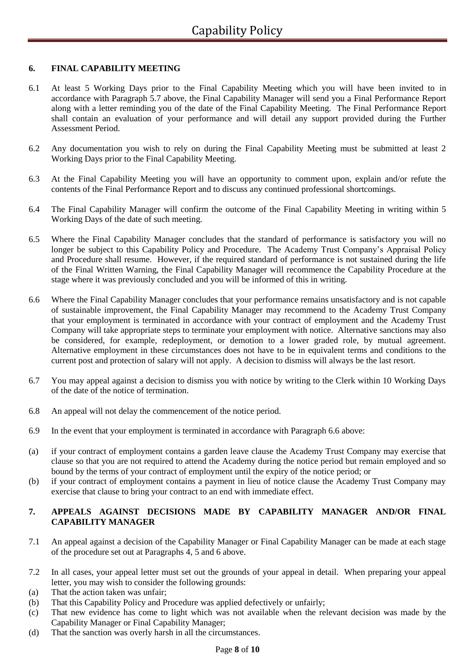### **6. FINAL CAPABILITY MEETING**

- 6.1 At least 5 Working Days prior to the Final Capability Meeting which you will have been invited to in accordance with Paragraph 5.7 above, the Final Capability Manager will send you a Final Performance Report along with a letter reminding you of the date of the Final Capability Meeting. The Final Performance Report shall contain an evaluation of your performance and will detail any support provided during the Further Assessment Period.
- 6.2 Any documentation you wish to rely on during the Final Capability Meeting must be submitted at least 2 Working Days prior to the Final Capability Meeting.
- 6.3 At the Final Capability Meeting you will have an opportunity to comment upon, explain and/or refute the contents of the Final Performance Report and to discuss any continued professional shortcomings.
- 6.4 The Final Capability Manager will confirm the outcome of the Final Capability Meeting in writing within 5 Working Days of the date of such meeting.
- 6.5 Where the Final Capability Manager concludes that the standard of performance is satisfactory you will no longer be subject to this Capability Policy and Procedure. The Academy Trust Company's Appraisal Policy and Procedure shall resume. However, if the required standard of performance is not sustained during the life of the Final Written Warning, the Final Capability Manager will recommence the Capability Procedure at the stage where it was previously concluded and you will be informed of this in writing.
- 6.6 Where the Final Capability Manager concludes that your performance remains unsatisfactory and is not capable of sustainable improvement, the Final Capability Manager may recommend to the Academy Trust Company that your employment is terminated in accordance with your contract of employment and the Academy Trust Company will take appropriate steps to terminate your employment with notice. Alternative sanctions may also be considered, for example, redeployment, or demotion to a lower graded role, by mutual agreement. Alternative employment in these circumstances does not have to be in equivalent terms and conditions to the current post and protection of salary will not apply. A decision to dismiss will always be the last resort.
- 6.7 You may appeal against a decision to dismiss you with notice by writing to the Clerk within 10 Working Days of the date of the notice of termination.
- 6.8 An appeal will not delay the commencement of the notice period.
- 6.9 In the event that your employment is terminated in accordance with Paragraph 6.6 above:
- (a) if your contract of employment contains a garden leave clause the Academy Trust Company may exercise that clause so that you are not required to attend the Academy during the notice period but remain employed and so bound by the terms of your contract of employment until the expiry of the notice period; or
- (b) if your contract of employment contains a payment in lieu of notice clause the Academy Trust Company may exercise that clause to bring your contract to an end with immediate effect.

### **7. APPEALS AGAINST DECISIONS MADE BY CAPABILITY MANAGER AND/OR FINAL CAPABILITY MANAGER**

- 7.1 An appeal against a decision of the Capability Manager or Final Capability Manager can be made at each stage of the procedure set out at Paragraphs 4, 5 and 6 above.
- 7.2 In all cases, your appeal letter must set out the grounds of your appeal in detail. When preparing your appeal letter, you may wish to consider the following grounds:
- (a) That the action taken was unfair;
- (b) That this Capability Policy and Procedure was applied defectively or unfairly;
- (c) That new evidence has come to light which was not available when the relevant decision was made by the Capability Manager or Final Capability Manager;
- (d) That the sanction was overly harsh in all the circumstances.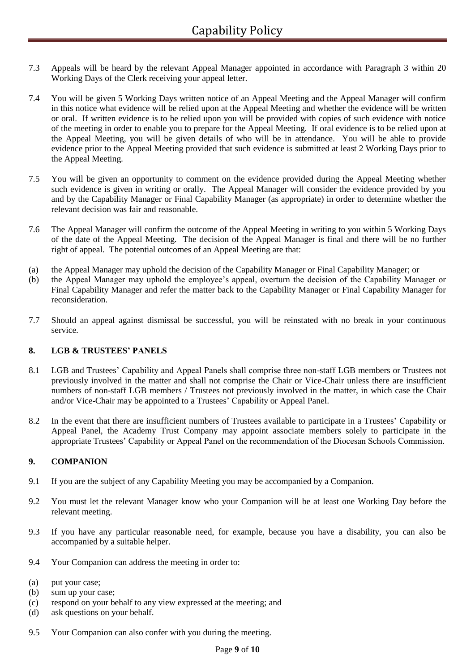- 7.3 Appeals will be heard by the relevant Appeal Manager appointed in accordance with Paragraph 3 within 20 Working Days of the Clerk receiving your appeal letter.
- 7.4 You will be given 5 Working Days written notice of an Appeal Meeting and the Appeal Manager will confirm in this notice what evidence will be relied upon at the Appeal Meeting and whether the evidence will be written or oral. If written evidence is to be relied upon you will be provided with copies of such evidence with notice of the meeting in order to enable you to prepare for the Appeal Meeting. If oral evidence is to be relied upon at the Appeal Meeting, you will be given details of who will be in attendance. You will be able to provide evidence prior to the Appeal Meeting provided that such evidence is submitted at least 2 Working Days prior to the Appeal Meeting.
- 7.5 You will be given an opportunity to comment on the evidence provided during the Appeal Meeting whether such evidence is given in writing or orally. The Appeal Manager will consider the evidence provided by you and by the Capability Manager or Final Capability Manager (as appropriate) in order to determine whether the relevant decision was fair and reasonable.
- 7.6 The Appeal Manager will confirm the outcome of the Appeal Meeting in writing to you within 5 Working Days of the date of the Appeal Meeting. The decision of the Appeal Manager is final and there will be no further right of appeal. The potential outcomes of an Appeal Meeting are that:
- (a) the Appeal Manager may uphold the decision of the Capability Manager or Final Capability Manager; or
- (b) the Appeal Manager may uphold the employee's appeal, overturn the decision of the Capability Manager or Final Capability Manager and refer the matter back to the Capability Manager or Final Capability Manager for reconsideration.
- 7.7 Should an appeal against dismissal be successful, you will be reinstated with no break in your continuous service.

#### **8. LGB & TRUSTEES' PANELS**

- 8.1 LGB and Trustees' Capability and Appeal Panels shall comprise three non-staff LGB members or Trustees not previously involved in the matter and shall not comprise the Chair or Vice-Chair unless there are insufficient numbers of non-staff LGB members / Trustees not previously involved in the matter, in which case the Chair and/or Vice-Chair may be appointed to a Trustees' Capability or Appeal Panel.
- 8.2 In the event that there are insufficient numbers of Trustees available to participate in a Trustees' Capability or Appeal Panel, the Academy Trust Company may appoint associate members solely to participate in the appropriate Trustees' Capability or Appeal Panel on the recommendation of the Diocesan Schools Commission.

#### **9. COMPANION**

- 9.1 If you are the subject of any Capability Meeting you may be accompanied by a Companion.
- 9.2 You must let the relevant Manager know who your Companion will be at least one Working Day before the relevant meeting.
- 9.3 If you have any particular reasonable need, for example, because you have a disability, you can also be accompanied by a suitable helper.
- 9.4 Your Companion can address the meeting in order to:
- (a) put your case;
- (b) sum up your case;
- (c) respond on your behalf to any view expressed at the meeting; and
- (d) ask questions on your behalf.
- 9.5 Your Companion can also confer with you during the meeting.